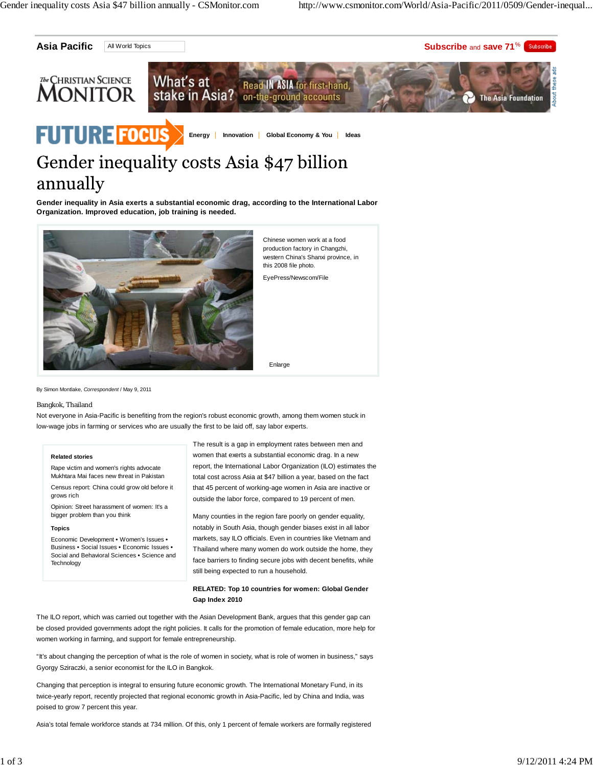

# annually

**Gender inequality in Asia exerts a substantial economic drag, according to the International Labor Organization. Improved education, job training is needed.**



Chinese women work at a food production factory in Changzhi, western China's Shanxi province, in this 2008 file photo.

EyePress/Newscom/File

By Simon Montlake, *Correspondent* / May 9, 2011

#### Bangkok, Thailand

Not everyone in Asia-Pacific is benefiting from the region's robust economic growth, among them women stuck in low-wage jobs in farming or services who are usually the first to be laid off, say labor experts.

#### **Related stories**

Rape victim and women's rights advocate Mukhtara Mai faces new threat in Pakistan

Census report: China could grow old before it grows rich

Opinion: Street harassment of women: It's a bigger problem than you think

#### **Topics**

Economic Development **•** Women's Issues **•** Business **•** Social Issues **•** Economic Issues **•** Social and Behavioral Sciences **•** Science and **Technology** 

The result is a gap in employment rates between men and women that exerts a substantial economic drag. In a new report, the International Labor Organization (ILO) estimates the total cost across Asia at \$47 billion a year, based on the fact that 45 percent of working-age women in Asia are inactive or outside the labor force, compared to 19 percent of men.

Enlarge

Many counties in the region fare poorly on gender equality, notably in South Asia, though gender biases exist in all labor markets, say ILO officials. Even in countries like Vietnam and Thailand where many women do work outside the home, they face barriers to finding secure jobs with decent benefits, while still being expected to run a household.

## **RELATED: Top 10 countries for women: Global Gender Gap Index 2010**

The ILO report, which was carried out together with the Asian Development Bank, argues that this gender gap can be closed provided governments adopt the right policies. It calls for the promotion of female education, more help for women working in farming, and support for female entrepreneurship.

"It's about changing the perception of what is the role of women in society, what is role of women in business," says Gyorgy Sziraczki, a senior economist for the ILO in Bangkok.

Changing that perception is integral to ensuring future economic growth. The International Monetary Fund, in its twice-yearly report, recently projected that regional economic growth in Asia-Pacific, led by China and India, was poised to grow 7 percent this year.

Asia's total female workforce stands at 734 million. Of this, only 1 percent of female workers are formally registered